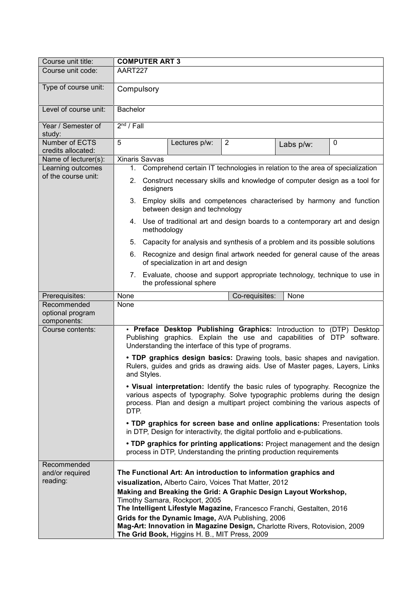| Course unit title:                          | <b>COMPUTER ART 3</b>                                                                                                                                                                                                                                  |                                                                                                                                                                                                                                                                                                          |                                                                             |           |             |  |
|---------------------------------------------|--------------------------------------------------------------------------------------------------------------------------------------------------------------------------------------------------------------------------------------------------------|----------------------------------------------------------------------------------------------------------------------------------------------------------------------------------------------------------------------------------------------------------------------------------------------------------|-----------------------------------------------------------------------------|-----------|-------------|--|
| Course unit code:                           | AART227                                                                                                                                                                                                                                                |                                                                                                                                                                                                                                                                                                          |                                                                             |           |             |  |
| Type of course unit:                        | Compulsory                                                                                                                                                                                                                                             |                                                                                                                                                                                                                                                                                                          |                                                                             |           |             |  |
| Level of course unit:                       | <b>Bachelor</b>                                                                                                                                                                                                                                        |                                                                                                                                                                                                                                                                                                          |                                                                             |           |             |  |
| Year / Semester of<br>study:                | $2nd$ / Fall                                                                                                                                                                                                                                           |                                                                                                                                                                                                                                                                                                          |                                                                             |           |             |  |
| <b>Number of ECTS</b><br>credits allocated: | $\overline{5}$                                                                                                                                                                                                                                         | Lectures p/w:                                                                                                                                                                                                                                                                                            | $\overline{2}$                                                              | Labs p/w: | $\mathbf 0$ |  |
| Name of lecturer(s):                        | <b>Xinaris Savvas</b>                                                                                                                                                                                                                                  |                                                                                                                                                                                                                                                                                                          |                                                                             |           |             |  |
| Learning outcomes                           | Comprehend certain IT technologies in relation to the area of specialization<br>1.                                                                                                                                                                     |                                                                                                                                                                                                                                                                                                          |                                                                             |           |             |  |
| of the course unit:                         | Construct necessary skills and knowledge of computer design as a tool for<br>2.<br>designers                                                                                                                                                           |                                                                                                                                                                                                                                                                                                          |                                                                             |           |             |  |
|                                             | 3. Employ skills and competences characterised by harmony and function<br>between design and technology                                                                                                                                                |                                                                                                                                                                                                                                                                                                          |                                                                             |           |             |  |
|                                             | Use of traditional art and design boards to a contemporary art and design<br>4.<br>methodology                                                                                                                                                         |                                                                                                                                                                                                                                                                                                          |                                                                             |           |             |  |
|                                             | 5.                                                                                                                                                                                                                                                     |                                                                                                                                                                                                                                                                                                          | Capacity for analysis and synthesis of a problem and its possible solutions |           |             |  |
|                                             | Recognize and design final artwork needed for general cause of the areas<br>6.<br>of specialization in art and design                                                                                                                                  |                                                                                                                                                                                                                                                                                                          |                                                                             |           |             |  |
|                                             |                                                                                                                                                                                                                                                        | the professional sphere                                                                                                                                                                                                                                                                                  | 7. Evaluate, choose and support appropriate technology, technique to use in |           |             |  |
| Prerequisites:                              | None                                                                                                                                                                                                                                                   |                                                                                                                                                                                                                                                                                                          | Co-requisites:                                                              | None      |             |  |
| Recommended                                 | None                                                                                                                                                                                                                                                   |                                                                                                                                                                                                                                                                                                          |                                                                             |           |             |  |
| optional program                            |                                                                                                                                                                                                                                                        |                                                                                                                                                                                                                                                                                                          |                                                                             |           |             |  |
| components:                                 |                                                                                                                                                                                                                                                        |                                                                                                                                                                                                                                                                                                          |                                                                             |           |             |  |
| Course contents:                            | . Preface Desktop Publishing Graphics: Introduction to (DTP) Desktop<br>Publishing graphics. Explain the use and capabilities of DTP software.<br>Understanding the interface of this type of programs.                                                |                                                                                                                                                                                                                                                                                                          |                                                                             |           |             |  |
|                                             | . TDP graphics design basics: Drawing tools, basic shapes and navigation.<br>Rulers, guides and grids as drawing aids. Use of Master pages, Layers, Links<br>and Styles.                                                                               |                                                                                                                                                                                                                                                                                                          |                                                                             |           |             |  |
|                                             | • Visual interpretation: Identify the basic rules of typography. Recognize the<br>various aspects of typography. Solve typographic problems during the design<br>process. Plan and design a multipart project combining the various aspects of<br>DTP. |                                                                                                                                                                                                                                                                                                          |                                                                             |           |             |  |
|                                             | . TDP graphics for screen base and online applications: Presentation tools<br>in DTP, Design for interactivity, the digital portfolio and e-publications.                                                                                              |                                                                                                                                                                                                                                                                                                          |                                                                             |           |             |  |
|                                             | • TDP graphics for printing applications: Project management and the design<br>process in DTP, Understanding the printing production requirements                                                                                                      |                                                                                                                                                                                                                                                                                                          |                                                                             |           |             |  |
| Recommended<br>and/or required<br>reading:  |                                                                                                                                                                                                                                                        | The Functional Art: An introduction to information graphics and<br>visualization, Alberto Cairo, Voices That Matter, 2012<br>Making and Breaking the Grid: A Graphic Design Layout Workshop,<br>Timothy Samara, Rockport, 2005<br>The Intelligent Lifestyle Magazine, Francesco Franchi, Gestalten, 2016 |                                                                             |           |             |  |
|                                             |                                                                                                                                                                                                                                                        |                                                                                                                                                                                                                                                                                                          | Grids for the Dynamic Image, AVA Publishing, 2006                           |           |             |  |
|                                             |                                                                                                                                                                                                                                                        | The Grid Book, Higgins H. B., MIT Press, 2009                                                                                                                                                                                                                                                            | Mag-Art: Innovation in Magazine Design, Charlotte Rivers, Rotovision, 2009  |           |             |  |